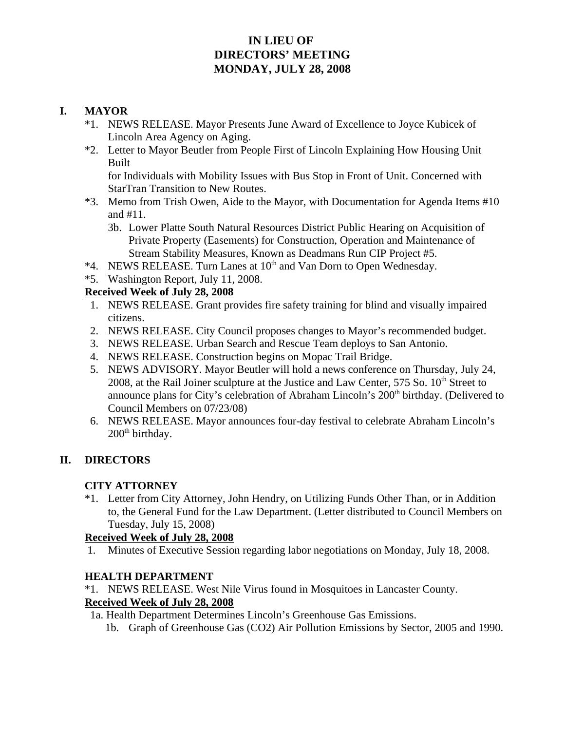## **IN LIEU OF DIRECTORS' MEETING MONDAY, JULY 28, 2008**

#### **I. MAYOR**

- \*1. NEWS RELEASE. Mayor Presents June Award of Excellence to Joyce Kubicek of Lincoln Area Agency on Aging.
- \*2. Letter to Mayor Beutler from People First of Lincoln Explaining How Housing Unit Built for Individuals with Mobility Issues with Bus Stop in Front of Unit. Concerned with

StarTran Transition to New Routes.

- \*3. Memo from Trish Owen, Aide to the Mayor, with Documentation for Agenda Items #10 and #11.
	- 3b. Lower Platte South Natural Resources District Public Hearing on Acquisition of Private Property (Easements) for Construction, Operation and Maintenance of Stream Stability Measures, Known as Deadmans Run CIP Project #5.
- \*4. NEWS RELEASE. Turn Lanes at 10<sup>th</sup> and Van Dorn to Open Wednesday.
- \*5. Washington Report, July 11, 2008.

## **Received Week of July 28, 2008**

- 1. NEWS RELEASE. Grant provides fire safety training for blind and visually impaired citizens.
- 2. NEWS RELEASE. City Council proposes changes to Mayor's recommended budget.
- 3. NEWS RELEASE. Urban Search and Rescue Team deploys to San Antonio.
- 4. NEWS RELEASE. Construction begins on Mopac Trail Bridge.
- 5. NEWS ADVISORY. Mayor Beutler will hold a news conference on Thursday, July 24, 2008, at the Rail Joiner sculpture at the Justice and Law Center,  $575$  So.  $10<sup>th</sup>$  Street to announce plans for City's celebration of Abraham Lincoln's 200<sup>th</sup> birthday. (Delivered to Council Members on 07/23/08)
- 6. NEWS RELEASE. Mayor announces four-day festival to celebrate Abraham Lincoln's 200<sup>th</sup> birthday.

## **II. DIRECTORS**

## **CITY ATTORNEY**

\*1. Letter from City Attorney, John Hendry, on Utilizing Funds Other Than, or in Addition to, the General Fund for the Law Department. (Letter distributed to Council Members on Tuesday, July 15, 2008)

#### **Received Week of July 28, 2008**

1. Minutes of Executive Session regarding labor negotiations on Monday, July 18, 2008.

## **HEALTH DEPARTMENT**

\*1. NEWS RELEASE. West Nile Virus found in Mosquitoes in Lancaster County.

#### **Received Week of July 28, 2008**

- 1a. Health Department Determines Lincoln's Greenhouse Gas Emissions.
	- 1b. Graph of Greenhouse Gas (CO2) Air Pollution Emissions by Sector, 2005 and 1990.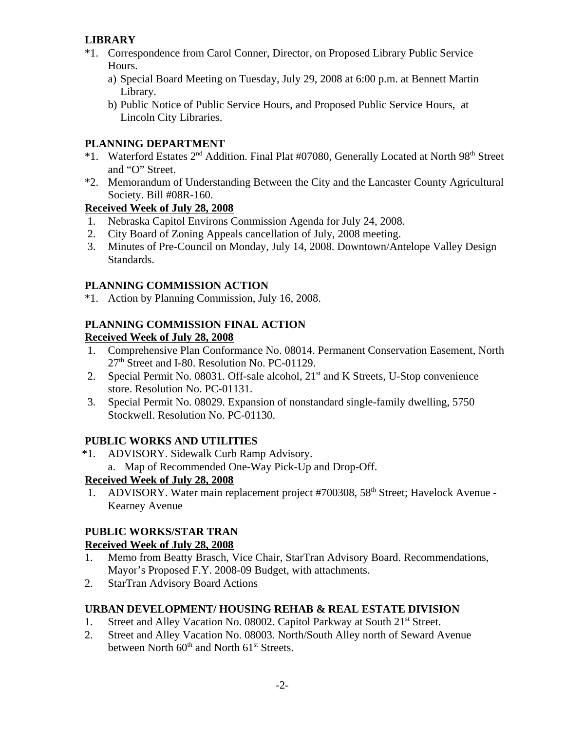## **LIBRARY**

- \*1. Correspondence from Carol Conner, Director, on Proposed Library Public Service Hours.
	- a) Special Board Meeting on Tuesday, July 29, 2008 at 6:00 p.m. at Bennett Martin Library.
	- b) Public Notice of Public Service Hours, and Proposed Public Service Hours, at Lincoln City Libraries.

## **PLANNING DEPARTMENT**

- \*1. Waterford Estates 2<sup>nd</sup> Addition. Final Plat #07080, Generally Located at North 98<sup>th</sup> Street and "O" Street.
- \*2. Memorandum of Understanding Between the City and the Lancaster County Agricultural Society. Bill #08R-160.

## **Received Week of July 28, 2008**

- 1. Nebraska Capitol Environs Commission Agenda for July 24, 2008.
- 2. City Board of Zoning Appeals cancellation of July, 2008 meeting.
- 3. Minutes of Pre-Council on Monday, July 14, 2008. Downtown/Antelope Valley Design Standards.

## **PLANNING COMMISSION ACTION**

\*1. Action by Planning Commission, July 16, 2008.

# **PLANNING COMMISSION FINAL ACTION**

## **Received Week of July 28, 2008**

- 1. Comprehensive Plan Conformance No. 08014. Permanent Conservation Easement, North 27<sup>th</sup> Street and I-80. Resolution No. PC-01129.
- 2. Special Permit No. 08031. Off-sale alcohol, 21<sup>st</sup> and K Streets, U-Stop convenience store. Resolution No. PC-01131.
- 3. Special Permit No. 08029. Expansion of nonstandard single-family dwelling, 5750 Stockwell. Resolution No. PC-01130.

# **PUBLIC WORKS AND UTILITIES**

 \*1. ADVISORY. Sidewalk Curb Ramp Advisory. a. Map of Recommended One-Way Pick-Up and Drop-Off.

# **Received Week of July 28, 2008**

1. ADVISORY. Water main replacement project #700308, 58<sup>th</sup> Street; Havelock Avenue -Kearney Avenue

# **PUBLIC WORKS/STAR TRAN**

## **Received Week of July 28, 2008**

- 1. Memo from Beatty Brasch, Vice Chair, StarTran Advisory Board. Recommendations, Mayor's Proposed F.Y. 2008-09 Budget, with attachments.
- 2. StarTran Advisory Board Actions

## **URBAN DEVELOPMENT/ HOUSING REHAB & REAL ESTATE DIVISION**

- 1. Street and Alley Vacation No. 08002. Capitol Parkway at South 21<sup>st</sup> Street.
- 2. Street and Alley Vacation No. 08003. North/South Alley north of Seward Avenue between North  $60<sup>th</sup>$  and North  $61<sup>st</sup>$  Streets.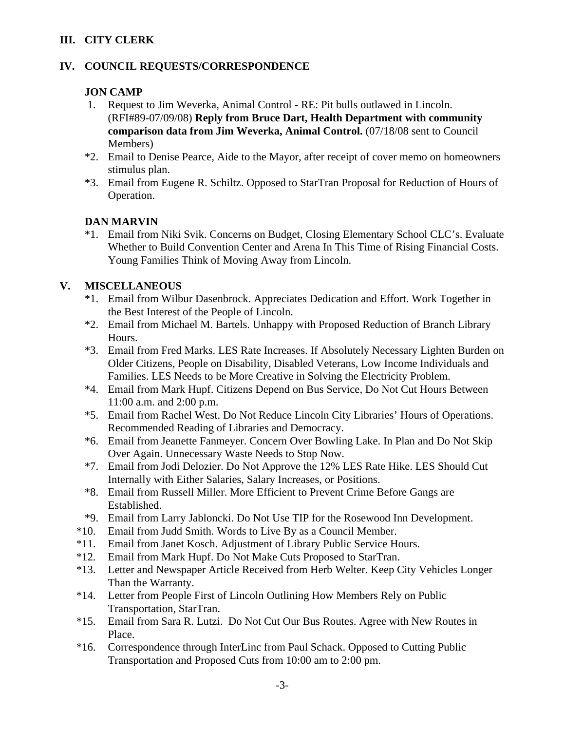## **III. CITY CLERK**

## **IV. COUNCIL REQUESTS/CORRESPONDENCE**

#### **JON CAMP**

- 1. Request to Jim Weverka, Animal Control RE: Pit bulls outlawed in Lincoln. (RFI#89-07/09/08) **Reply from Bruce Dart, Health Department with community comparison data from Jim Weverka, Animal Control.** (07/18/08 sent to Council Members)
- \*2. Email to Denise Pearce, Aide to the Mayor, after receipt of cover memo on homeowners stimulus plan.
- \*3. Email from Eugene R. Schiltz. Opposed to StarTran Proposal for Reduction of Hours of Operation.

#### **DAN MARVIN**

\*1. Email from Niki Svik. Concerns on Budget, Closing Elementary School CLC's. Evaluate Whether to Build Convention Center and Arena In This Time of Rising Financial Costs. Young Families Think of Moving Away from Lincoln.

## **V. MISCELLANEOUS**

- \*1. Email from Wilbur Dasenbrock. Appreciates Dedication and Effort. Work Together in the Best Interest of the People of Lincoln.
- \*2. Email from Michael M. Bartels. Unhappy with Proposed Reduction of Branch Library Hours.
- \*3. Email from Fred Marks. LES Rate Increases. If Absolutely Necessary Lighten Burden on Older Citizens, People on Disability, Disabled Veterans, Low Income Individuals and Families. LES Needs to be More Creative in Solving the Electricity Problem.
- \*4. Email from Mark Hupf. Citizens Depend on Bus Service, Do Not Cut Hours Between 11:00 a.m. and 2:00 p.m.
- \*5. Email from Rachel West. Do Not Reduce Lincoln City Libraries' Hours of Operations. Recommended Reading of Libraries and Democracy.
- \*6. Email from Jeanette Fanmeyer. Concern Over Bowling Lake. In Plan and Do Not Skip Over Again. Unnecessary Waste Needs to Stop Now.
- \*7. Email from Jodi Delozier. Do Not Approve the 12% LES Rate Hike. LES Should Cut Internally with Either Salaries, Salary Increases, or Positions.
- \*8. Email from Russell Miller. More Efficient to Prevent Crime Before Gangs are Established.
- \*9. Email from Larry Jabloncki. Do Not Use TIP for the Rosewood Inn Development.
- \*10. Email from Judd Smith. Words to Live By as a Council Member.
- \*11. Email from Janet Kosch. Adjustment of Library Public Service Hours.
- \*12. Email from Mark Hupf. Do Not Make Cuts Proposed to StarTran.
- \*13. Letter and Newspaper Article Received from Herb Welter. Keep City Vehicles Longer Than the Warranty.
- \*14. Letter from People First of Lincoln Outlining How Members Rely on Public Transportation, StarTran.
- \*15. Email from Sara R. Lutzi. Do Not Cut Our Bus Routes. Agree with New Routes in Place.
- \*16. Correspondence through InterLinc from Paul Schack. Opposed to Cutting Public Transportation and Proposed Cuts from 10:00 am to 2:00 pm.